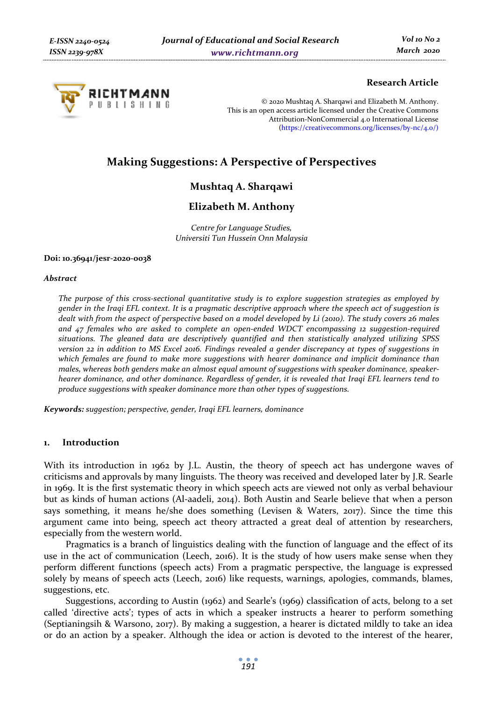

## **Research Article**

© 2020 Mushtaq A. Sharqawi and Elizabeth M. Anthony. This is an open access article licensed under the Creative Commons Attribution-NonCommercial 4.0 International License (https://creativecommons.org/licenses/by-nc/4.0/)

# **Making Suggestions: A Perspective of Perspectives**

# **Mushtaq A. Sharqawi**

# **Elizabeth M. Anthony**

*Centre for Language Studies, Universiti Tun Hussein Onn Malaysia* 

#### **Doi: 10.36941/jesr-2020-0038**

### *Abstract*

*The purpose of this cross-sectional quantitative study is to explore suggestion strategies as employed by gender in the Iraqi EFL context. It is a pragmatic descriptive approach where the speech act of suggestion is dealt with from the aspect of perspective based on a model developed by Li (2010). The study covers 26 males and 47 females who are asked to complete an open-ended WDCT encompassing 12 suggestion-required situations. The gleaned data are descriptively quantified and then statistically analyzed utilizing SPSS version 22 in addition to MS Excel 2016. Findings revealed a gender discrepancy at types of suggestions in which females are found to make more suggestions with hearer dominance and implicit dominance than males, whereas both genders make an almost equal amount of suggestions with speaker dominance, speakerhearer dominance, and other dominance. Regardless of gender, it is revealed that Iraqi EFL learners tend to produce suggestions with speaker dominance more than other types of suggestions.* 

*Keywords: suggestion; perspective, gender, Iraqi EFL learners, dominance* 

## **1. Introduction**

With its introduction in 1962 by J.L. Austin, the theory of speech act has undergone waves of criticisms and approvals by many linguists. The theory was received and developed later by J.R. Searle in 1969. It is the first systematic theory in which speech acts are viewed not only as verbal behaviour but as kinds of human actions (Al-aadeli, 2014). Both Austin and Searle believe that when a person says something, it means he/she does something (Levisen & Waters, 2017). Since the time this argument came into being, speech act theory attracted a great deal of attention by researchers, especially from the western world.

Pragmatics is a branch of linguistics dealing with the function of language and the effect of its use in the act of communication (Leech, 2016). It is the study of how users make sense when they perform different functions (speech acts) From a pragmatic perspective, the language is expressed solely by means of speech acts (Leech, 2016) like requests, warnings, apologies, commands, blames, suggestions, etc.

Suggestions, according to Austin (1962) and Searle's (1969) classification of acts, belong to a set called 'directive acts'; types of acts in which a speaker instructs a hearer to perform something (Septianingsih & Warsono, 2017). By making a suggestion, a hearer is dictated mildly to take an idea or do an action by a speaker. Although the idea or action is devoted to the interest of the hearer,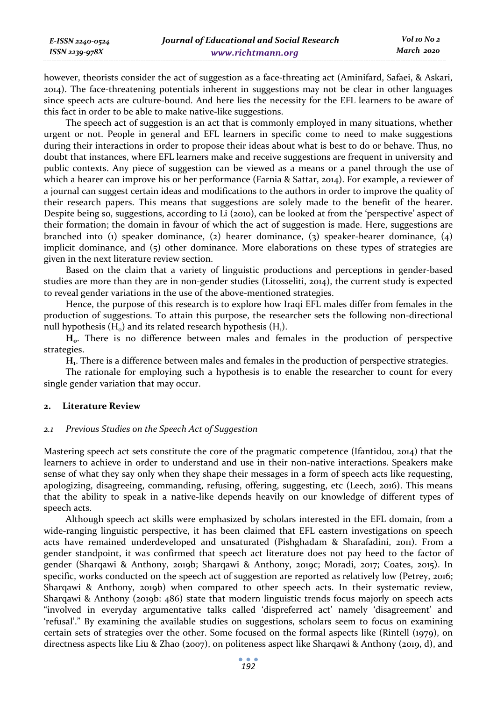| E-ISSN 2240-0524    | Journal of Educational and Social Research | Vol 10 No 2 |
|---------------------|--------------------------------------------|-------------|
| $ISSN$ 2239-97 $8X$ | www.richtmann.org                          | March 2020  |

however, theorists consider the act of suggestion as a face-threating act (Aminifard, Safaei, & Askari, 2014). The face-threatening potentials inherent in suggestions may not be clear in other languages since speech acts are culture-bound. And here lies the necessity for the EFL learners to be aware of this fact in order to be able to make native-like suggestions.

The speech act of suggestion is an act that is commonly employed in many situations, whether urgent or not. People in general and EFL learners in specific come to need to make suggestions during their interactions in order to propose their ideas about what is best to do or behave. Thus, no doubt that instances, where EFL learners make and receive suggestions are frequent in university and public contexts. Any piece of suggestion can be viewed as a means or a panel through the use of which a hearer can improve his or her performance (Farnia & Sattar, 2014). For example, a reviewer of a journal can suggest certain ideas and modifications to the authors in order to improve the quality of their research papers. This means that suggestions are solely made to the benefit of the hearer. Despite being so, suggestions, according to Li (2010), can be looked at from the 'perspective' aspect of their formation; the domain in favour of which the act of suggestion is made. Here, suggestions are branched into (1) speaker dominance, (2) hearer dominance, (3) speaker-hearer dominance, (4) implicit dominance, and (5) other dominance. More elaborations on these types of strategies are given in the next literature review section.

Based on the claim that a variety of linguistic productions and perceptions in gender-based studies are more than they are in non-gender studies (Litosseliti, 2014), the current study is expected to reveal gender variations in the use of the above-mentioned strategies.

Hence, the purpose of this research is to explore how Iraqi EFL males differ from females in the production of suggestions. To attain this purpose, the researcher sets the following non-directional null hypothesis  $(H_0)$  and its related research hypothesis  $(H_1)$ .

**H0**. There is no difference between males and females in the production of perspective strategies.

**H1**. There is a difference between males and females in the production of perspective strategies.

The rationale for employing such a hypothesis is to enable the researcher to count for every single gender variation that may occur.

#### **2. Literature Review**

### *2.1 Previous Studies on the Speech Act of Suggestion*

Mastering speech act sets constitute the core of the pragmatic competence (Ifantidou, 2014) that the learners to achieve in order to understand and use in their non-native interactions. Speakers make sense of what they say only when they shape their messages in a form of speech acts like requesting, apologizing, disagreeing, commanding, refusing, offering, suggesting, etc (Leech, 2016). This means that the ability to speak in a native-like depends heavily on our knowledge of different types of speech acts.

Although speech act skills were emphasized by scholars interested in the EFL domain, from a wide-ranging linguistic perspective, it has been claimed that EFL eastern investigations on speech acts have remained underdeveloped and unsaturated (Pishghadam & Sharafadini, 2011). From a gender standpoint, it was confirmed that speech act literature does not pay heed to the factor of gender (Sharqawi & Anthony, 2019b; Sharqawi & Anthony, 2019c; Moradi, 2017; Coates, 2015). In specific, works conducted on the speech act of suggestion are reported as relatively low (Petrey, 2016; Sharqawi & Anthony, 2019b) when compared to other speech acts. In their systematic review, Sharqawi & Anthony (2019b: 486) state that modern linguistic trends focus majorly on speech acts "involved in everyday argumentative talks called 'dispreferred act' namely 'disagreement' and 'refusal'." By examining the available studies on suggestions, scholars seem to focus on examining certain sets of strategies over the other. Some focused on the formal aspects like (Rintell (1979), on directness aspects like Liu & Zhao (2007), on politeness aspect like Sharqawi & Anthony (2019, d), and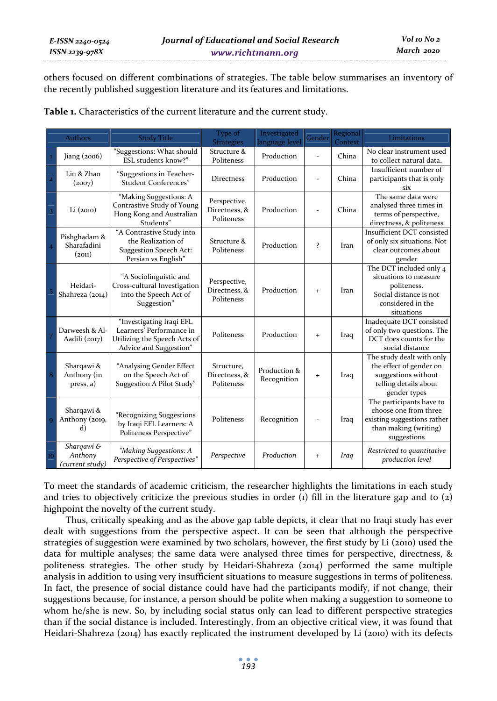others focused on different combinations of strategies. The table below summarises an inventory of the recently published suggestion literature and its features and limitations.

**Table 1.** Characteristics of the current literature and the current study.

|                | <b>Authors</b>                           | <b>Study Title</b>                                                                                             | Type of<br><b>Strategies</b>                | Investigated<br>language level | Gender            | Regional<br>Context | Limitations                                                                                                                  |
|----------------|------------------------------------------|----------------------------------------------------------------------------------------------------------------|---------------------------------------------|--------------------------------|-------------------|---------------------|------------------------------------------------------------------------------------------------------------------------------|
|                | Jiang $(2006)$                           | "Suggestions: What should<br>ESL students know?"                                                               | Structure &<br>Politeness                   | Production                     | $\overline{a}$    | China               | No clear instrument used<br>to collect natural data.                                                                         |
|                | Liu & Zhao<br>(2007)                     | "Suggestions in Teacher-<br>Student Conferences"                                                               | Directness                                  | Production                     |                   | China               | Insufficient number of<br>participants that is only<br>six                                                                   |
|                | Li (2010)                                | "Making Suggestions: A<br>Contrastive Study of Young<br>Hong Kong and Australian<br>Students"                  | Perspective,<br>Directness, &<br>Politeness | Production                     |                   | China               | The same data were<br>analysed three times in<br>terms of perspective,<br>directness, & politeness                           |
|                | Pishghadam &<br>Sharafadini<br>(2011)    | "A Contrastive Study into<br>the Realization of<br><b>Suggestion Speech Act:</b><br>Persian vs English"        | Structure &<br>Politeness                   | Production                     | ś.                | Iran                | Insufficient DCT consisted<br>of only six situations. Not<br>clear outcomes about<br>gender                                  |
|                | Heidari-<br>Shahreza (2014)              | "A Sociolinguistic and<br>Cross-cultural Investigation<br>into the Speech Act of<br>Suggestion"                | Perspective,<br>Directness, &<br>Politeness | Production                     | $\ddot{}$         | Iran                | The DCT included only 4<br>situations to measure<br>politeness.<br>Social distance is not<br>considered in the<br>situations |
|                | Darweesh & Al-<br>Aadili (2017)          | "Investigating Iraqi EFL<br>Learners' Performance in<br>Utilizing the Speech Acts of<br>Advice and Suggestion" | Politeness                                  | Production                     | $+$               | Iraq                | Inadequate DCT consisted<br>of only two questions. The<br>DCT does counts for the<br>social distance                         |
| $\overline{8}$ | Sharqawi &<br>Anthony (in<br>press, a)   | "Analysing Gender Effect<br>on the Speech Act of<br>Suggestion A Pilot Study"                                  | Structure,<br>Directness, &<br>Politeness   | Production &<br>Recognition    | $\qquad \qquad +$ | Iraq                | The study dealt with only<br>the effect of gender on<br>suggestions without<br>telling details about<br>gender types         |
|                | Sharqawi &<br>Anthony (2019,<br>d)       | "Recognizing Suggestions<br>by Iraqi EFL Learners: A<br>Politeness Perspective"                                | Politeness                                  | Recognition                    |                   | Iraq                | The participants have to<br>choose one from three<br>existing suggestions rather<br>than making (writing)<br>suggestions     |
| 10             | Sharqawi &<br>Anthony<br>(current study) | "Making Suggestions: A<br>Perspective of Perspectives"                                                         | Perspective                                 | Production                     | $+$               | Iraq                | Restricted to quantitative<br>production level                                                                               |

To meet the standards of academic criticism, the researcher highlights the limitations in each study and tries to objectively criticize the previous studies in order (1) fill in the literature gap and to  $(z)$ highpoint the novelty of the current study.

Thus, critically speaking and as the above gap table depicts, it clear that no Iraqi study has ever dealt with suggestions from the perspective aspect. It can be seen that although the perspective strategies of suggestion were examined by two scholars, however, the first study by Li (2010) used the data for multiple analyses; the same data were analysed three times for perspective, directness, & politeness strategies. The other study by Heidari-Shahreza (2014) performed the same multiple analysis in addition to using very insufficient situations to measure suggestions in terms of politeness. In fact, the presence of social distance could have had the participants modify, if not change, their suggestions because, for instance, a person should be polite when making a suggestion to someone to whom he/she is new. So, by including social status only can lead to different perspective strategies than if the social distance is included. Interestingly, from an objective critical view, it was found that Heidari-Shahreza (2014) has exactly replicated the instrument developed by Li (2010) with its defects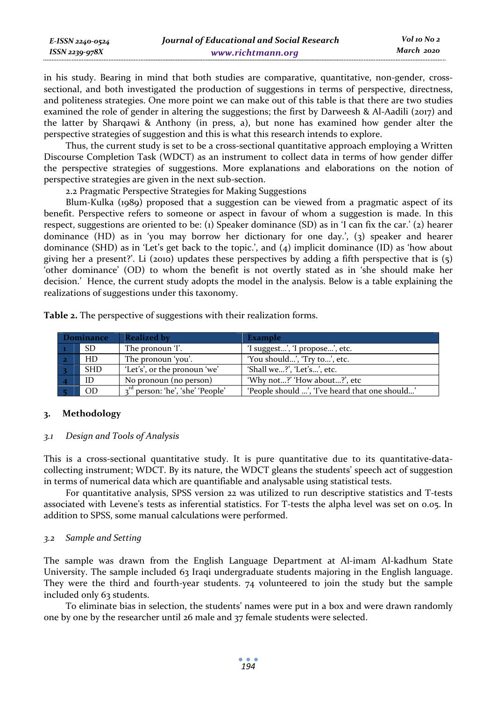| E-ISSN 2240-0524 | Journal of Educational and Social Research | Vol 10 No 2 |
|------------------|--------------------------------------------|-------------|
| ISSN 2239-978X   | www.richtmann.org                          | March 2020  |

in his study. Bearing in mind that both studies are comparative, quantitative, non-gender, crosssectional, and both investigated the production of suggestions in terms of perspective, directness, and politeness strategies. One more point we can make out of this table is that there are two studies examined the role of gender in altering the suggestions; the first by Darweesh & Al-Aadili (2017) and the latter by Sharqawi & Anthony (in press, a), but none has examined how gender alter the perspective strategies of suggestion and this is what this research intends to explore.

Thus, the current study is set to be a cross-sectional quantitative approach employing a Written Discourse Completion Task (WDCT) as an instrument to collect data in terms of how gender differ the perspective strategies of suggestions. More explanations and elaborations on the notion of perspective strategies are given in the next sub-section.

2.2 Pragmatic Perspective Strategies for Making Suggestions

Blum-Kulka (1989) proposed that a suggestion can be viewed from a pragmatic aspect of its benefit. Perspective refers to someone or aspect in favour of whom a suggestion is made. In this respect, suggestions are oriented to be: (1) Speaker dominance (SD) as in 'I can fix the car.' (2) hearer dominance (HD) as in 'you may borrow her dictionary for one day.', (3) speaker and hearer dominance (SHD) as in 'Let's get back to the topic.', and (4) implicit dominance (ID) as 'how about giving her a present?'. Li (2010) updates these perspectives by adding a fifth perspective that is (5) 'other dominance' (OD) to whom the benefit is not overtly stated as in 'she should make her decision.' Hence, the current study adopts the model in the analysis. Below is a table explaining the realizations of suggestions under this taxonomy.

| <b>Dominance</b> |            | <b>Realized by</b>                           | Example                                        |
|------------------|------------|----------------------------------------------|------------------------------------------------|
|                  | SD.        | The pronoun 'I'.                             | 'I suggest', 'I propose', etc.                 |
|                  | HD         | The pronoun 'you'.                           | 'You should', 'Try to', etc.                   |
|                  | <b>SHD</b> | 'Let's', or the pronoun 'we'                 | 'Shall we?', 'Let's', etc.                     |
|                  | ID         | No pronoun (no person)                       | 'Why not?' 'How about?', etc                   |
|                  | OD         | 3 <sup>rd</sup> person: 'he', 'she' 'People' | 'People should ', 'I've heard that one should' |

**Table 2.** The perspective of suggestions with their realization forms.

# **3. Methodology**

#### *3.1 Design and Tools of Analysis*

This is a cross-sectional quantitative study. It is pure quantitative due to its quantitative-datacollecting instrument; WDCT. By its nature, the WDCT gleans the students' speech act of suggestion in terms of numerical data which are quantifiable and analysable using statistical tests.

For quantitative analysis, SPSS version 22 was utilized to run descriptive statistics and T-tests associated with Levene's tests as inferential statistics. For T-tests the alpha level was set on 0.05. In addition to SPSS, some manual calculations were performed.

### *3.2 Sample and Setting*

The sample was drawn from the English Language Department at Al-imam Al-kadhum State University. The sample included 63 Iraqi undergraduate students majoring in the English language. They were the third and fourth-year students. 74 volunteered to join the study but the sample included only 63 students.

To eliminate bias in selection, the students' names were put in a box and were drawn randomly one by one by the researcher until 26 male and 37 female students were selected.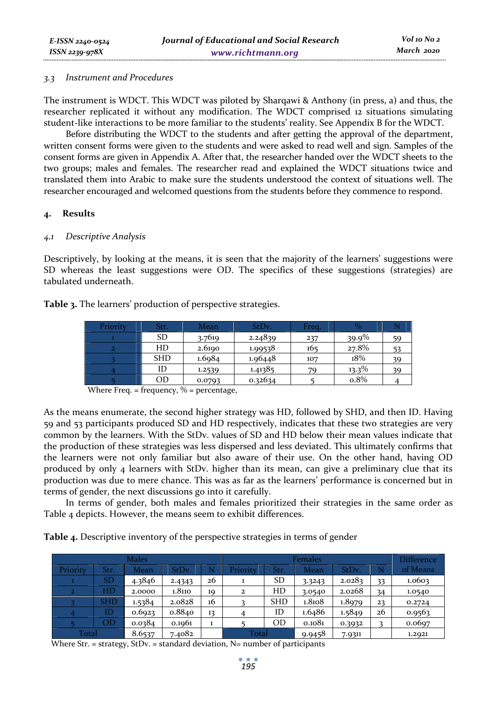### *3.3 Instrument and Procedures*

The instrument is WDCT. This WDCT was piloted by Sharqawi & Anthony (in press, a) and thus, the researcher replicated it without any modification. The WDCT comprised 12 situations simulating student-like interactions to be more familiar to the students' reality. See Appendix B for the WDCT.

Before distributing the WDCT to the students and after getting the approval of the department, written consent forms were given to the students and were asked to read well and sign. Samples of the consent forms are given in Appendix A. After that, the researcher handed over the WDCT sheets to the two groups; males and females. The researcher read and explained the WDCT situations twice and translated them into Arabic to make sure the students understood the context of situations well. The researcher encouraged and welcomed questions from the students before they commence to respond.

### **4. Results**

### *4.1 Descriptive Analysis*

Descriptively, by looking at the means, it is seen that the majority of the learners' suggestions were SD whereas the least suggestions were OD. The specifics of these suggestions (strategies) are tabulated underneath.

| Priority     | Str.       | Mean   | StDv.   | Freg. | $\%$     |    |
|--------------|------------|--------|---------|-------|----------|----|
|              | <b>SD</b>  | 3.7619 | 2.24839 | 237   | $39.9\%$ | 59 |
| $\mathbf{2}$ | HD         | 2.6190 | 1.99538 | 165   | 27.8%    | 53 |
|              | <b>SHD</b> | 1.6984 | 1.96448 | 107   | 18%      | 39 |
|              | ID         | 1.2539 | 1.41385 | 70    | $13.3\%$ | 39 |
|              | OD         | 0.0793 | 0.32634 |       | 0.8%     |    |

**Table 3.** The learners' production of perspective strategies.

Where Freq.  $=$  frequency,  $%$  = percentage,

As the means enumerate, the second higher strategy was HD, followed by SHD, and then ID. Having 59 and 53 participants produced SD and HD respectively, indicates that these two strategies are very common by the learners. With the StDv. values of SD and HD below their mean values indicate that the production of these strategies was less dispersed and less deviated. This ultimately confirms that the learners were not only familiar but also aware of their use. On the other hand, having OD produced by only 4 learners with StDv. higher than its mean, can give a preliminary clue that its production was due to mere chance. This was as far as the learners' performance is concerned but in terms of gender, the next discussions go into it carefully.

In terms of gender, both males and females prioritized their strategies in the same order as Table 4 depicts. However, the means seem to exhibit differences.

**Table 4.** Descriptive inventory of the perspective strategies in terms of gender

| Males          |            |        |        | Females |              |            |        | <b>Difference</b> |    |          |
|----------------|------------|--------|--------|---------|--------------|------------|--------|-------------------|----|----------|
| Priority       | Str.       | Mean   | StDv.  | N       | Priority     | Str.       | Mean   | StD <sub>v</sub>  | N  | of Means |
|                | <b>SD</b>  | 4.3846 | 2.4343 | 26      |              | <b>SD</b>  | 3.3243 | 2.0283            | 33 | 1.0603   |
| $\overline{2}$ | HD         | 2.0000 | 1.8110 | 19      | $\mathbf{z}$ | HD         | 3.0540 | 2.0268            | 34 | 1.0540   |
|                | <b>SHD</b> | 1.5384 | 2.0828 | 16      |              | <b>SHD</b> | 1.8108 | 1.8979            | 23 | 0.2724   |
|                | ID         | 0.6923 | 0.8840 | 13      | 4            | ID         | 1.6486 | 1.5849            | 26 | 0.9563   |
|                | ŌD         | 0.0384 | 0.1961 | 1       |              | OD         | 0.1081 | 0.3932            |    | 0.0697   |
| Total          |            | 8.6537 | 7.4082 |         | Total        |            | 9.9458 | 7.9311            |    | 1.2921   |

Where Str. = strategy, StDv. = standard deviation,  $N=$  number of participants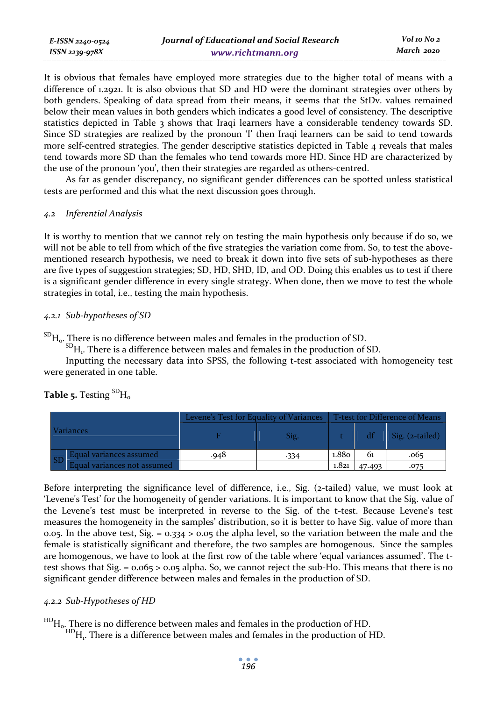It is obvious that females have employed more strategies due to the higher total of means with a difference of 1.2921. It is also obvious that SD and HD were the dominant strategies over others by both genders. Speaking of data spread from their means, it seems that the StDv. values remained below their mean values in both genders which indicates a good level of consistency. The descriptive statistics depicted in Table 3 shows that Iraqi learners have a considerable tendency towards SD. Since SD strategies are realized by the pronoun 'I' then Iraqi learners can be said to tend towards more self-centred strategies. The gender descriptive statistics depicted in Table 4 reveals that males tend towards more SD than the females who tend towards more HD. Since HD are characterized by the use of the pronoun 'you', then their strategies are regarded as others-centred.

As far as gender discrepancy, no significant gender differences can be spotted unless statistical tests are performed and this what the next discussion goes through.

# *4.2 Inferential Analysis*

It is worthy to mention that we cannot rely on testing the main hypothesis only because if do so, we will not be able to tell from which of the five strategies the variation come from. So, to test the abovementioned research hypothesis**,** we need to break it down into five sets of sub-hypotheses as there are five types of suggestion strategies; SD, HD, SHD, ID, and OD. Doing this enables us to test if there is a significant gender difference in every single strategy. When done, then we move to test the whole strategies in total, i.e., testing the main hypothesis.

# *4.2.1 Sub-hypotheses of SD*

 ${}^{SD}H_0$ . There is no difference between males and females in the production of SD.  ${}^{SD}H_1$ . There is a difference between males and females in the production of SD.

Inputting the necessary data into SPSS, the following t-test associated with homogeneity test were generated in one table.

|  | <b>Table 5.</b> Testing ${}^{\text{SD}}\text{H}_\text{o}$ |  |
|--|-----------------------------------------------------------|--|
|--|-----------------------------------------------------------|--|

|    |                             | <b>Levene's Test for Equality of Variances</b> |      |       |        | T-test for Difference of Means |
|----|-----------------------------|------------------------------------------------|------|-------|--------|--------------------------------|
|    | Variances                   |                                                | Sig. |       | df     | $Sign(z-tailed)$               |
|    | Equal variances assumed     | 948                                            | 334  | 1.880 | 61     | .065                           |
| SD | Equal variances not assumed |                                                |      | 1.821 | 47.493 |                                |

Before interpreting the significance level of difference, i.e., Sig. (2-tailed) value, we must look at 'Levene's Test' for the homogeneity of gender variations. It is important to know that the Sig. value of the Levene's test must be interpreted in reverse to the Sig. of the t-test. Because Levene's test measures the homogeneity in the samples' distribution, so it is better to have Sig. value of more than 0.05. In the above test, Sig.  $= 0.334 > 0.05$  the alpha level, so the variation between the male and the female is statistically significant and therefore, the two samples are homogenous. Since the samples are homogenous, we have to look at the first row of the table where 'equal variances assumed'. The ttest shows that Sig. = 0.065 > 0.05 alpha. So, we cannot reject the sub-H0. This means that there is no significant gender difference between males and females in the production of SD.

# *4.2.2 Sub-Hypotheses of HD*

 $^{\rm HD}{\rm H}_{\rm o}$  . There is no difference between males and females in the production of HD.

 $H<sup>D</sup>H<sub>1</sub>$ . There is a difference between males and females in the production of HD.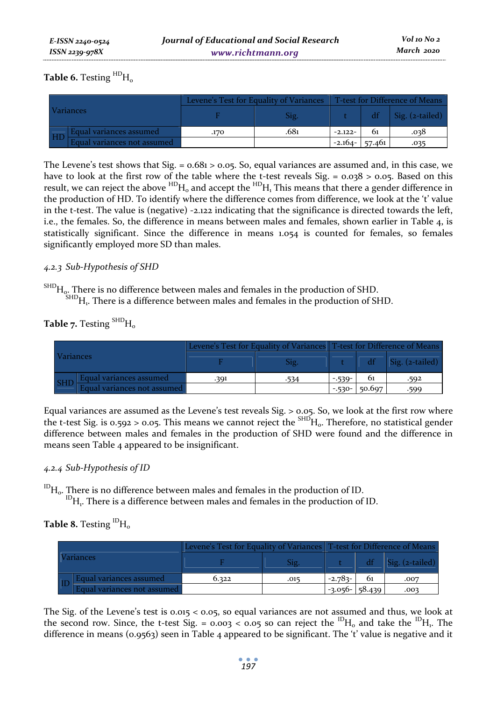Table 6. Testing  $^{HD}H_0$ 

|     |                                |      |      | Levene's Test for Equality of Variances    T-test for Difference of Means |    |                         |
|-----|--------------------------------|------|------|---------------------------------------------------------------------------|----|-------------------------|
|     | <i>Variances</i>               |      | 512. |                                                                           |    | $\vert$ Sig. (2-tailed) |
|     | <b>Equal variances assumed</b> | .170 | .681 | $-2.122-$                                                                 | 61 | .038                    |
| HD. | Equal variances not assumed    |      |      | $-2.164 - 57.461$                                                         |    | .035                    |

The Levene's test shows that Sig.  $= 0.681 > 0.05$ . So, equal variances are assumed and, in this case, we have to look at the first row of the table where the t-test reveals Sig. =  $0.038 > 0.05$ . Based on this result, we can reject the above  $H_D$ <sub>0</sub> and accept the  $H_D$ <sub>1</sub> This means that there a gender difference in the production of HD. To identify where the difference comes from difference, we look at the 't' value in the t-test. The value is (negative) -2.122 indicating that the significance is directed towards the left, i.e., the females. So, the difference in means between males and females, shown earlier in Table 4, is statistically significant. Since the difference in means 1.054 is counted for females, so females significantly employed more SD than males.

# *4.2.3 Sub-Hypothesis of SHD*

 ${}^{\rm SHD}{\rm H}_{\rm o}.$  There is no difference between males and females in the production of SHD.  ${}^{\rm SHD}{\rm H}_{\rm l}.$  There is a difference between males and females in the production of SHD.

# Table 7. Testing <sup>SHD</sup>H<sub>0</sub>

|                                              |     | Levene's Test for Equality of Variances   T-test for Difference of Means |         |                 |                   |
|----------------------------------------------|-----|--------------------------------------------------------------------------|---------|-----------------|-------------------|
| <b>Variances</b>                             |     |                                                                          |         |                 | $Sig. (z-tailed)$ |
| <b>Equal variances assumed</b><br><b>SHD</b> | 391 |                                                                          | $-530-$ | 61              | 592               |
| Equal variances not assumed                  |     |                                                                          |         | $-530 - 50.697$ | 599.              |

Equal variances are assumed as the Levene's test reveals Sig. > 0.05. So, we look at the first row where the t-test Sig. is 0.592 > 0.05. This means we cannot reject the SHD<sub>H<sub>0</sub>. Therefore, no statistical gender</sub> difference between males and females in the production of SHD were found and the difference in means seen Table 4 appeared to be insignificant.

# *4.2.4 Sub-Hypothesis of ID*

<sup>ID</sup>H<sub>0</sub>. There is no difference between males and females in the production of ID.<br><sup>ID</sup>H<sub>1</sub>. There is a difference between males and females in the production of ID.

# **Table 8.** Testing  ${}^{ID}H_0$

|                                | Levene's Test for Equality of Variances   T-test for Difference of Means |      |                   |    |                         |
|--------------------------------|--------------------------------------------------------------------------|------|-------------------|----|-------------------------|
| <b>Variances</b>               |                                                                          | 512. |                   |    | $\vert$ Sig. (2-tailed) |
| <b>Equal variances assumed</b> | 6.322                                                                    | .015 | -2.783-           | 61 | .007                    |
| Equal variances not assumed    |                                                                          |      | $-3.056 - 58.439$ |    | .002                    |

The Sig. of the Levene's test is 0.015 < 0.05, so equal variances are not assumed and thus, we look at the second row. Since, the t-test Sig. =  $0.003 < 0.05$  so can reject the  ${}^{1D}H_0$  and take the  ${}^{1D}H_1$ . The difference in means (0.9563) seen in Table 4 appeared to be significant. The 't' value is negative and it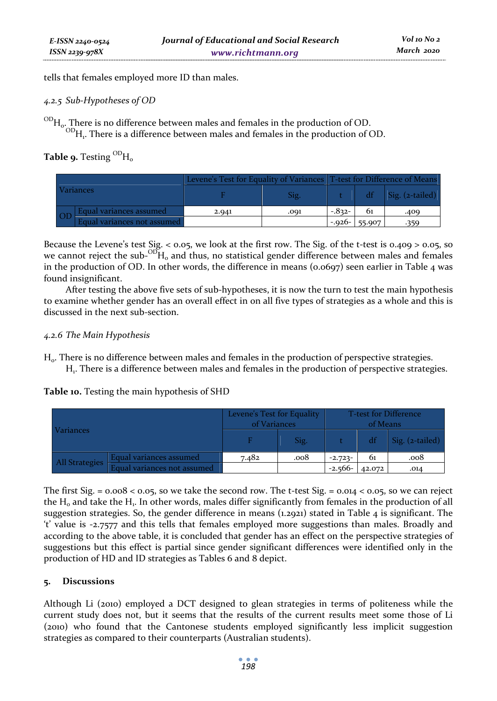*E-ISSN 2240-0524 ISSN 2239-978X*

tells that females employed more ID than males.

# *4.2.5 Sub-Hypotheses of OD*

 $O<sup>OD</sup>H<sub>o</sub>$ . There is no difference between males and females in the production of OD.

 $O<sup>OD</sup>H<sub>1</sub>$ . There is a difference between males and females in the production of OD.

# Table 9. Testing <sup>OD</sup>H<sub>0</sub>

|      |                                | Levene's Test for Equality of Variances   T-test for Difference of Means |      |        |                   |                                     |
|------|--------------------------------|--------------------------------------------------------------------------|------|--------|-------------------|-------------------------------------|
|      | <b>Variances</b>               |                                                                          | Sig  |        |                   | df $\left  \right $ Sig. (2-tailed) |
|      | <b>Equal variances assumed</b> | 2.941                                                                    | .001 | -.832- | 61                | .409                                |
| LUD. | Equal variances not assumed    |                                                                          |      |        | $-0.026 - 55.007$ |                                     |

Because the Levene's test Sig. < 0.05, we look at the first row. The Sig. of the t-test is 0.409 > 0.05, so we cannot reject the sub-<sup>ODH</sup><sub>0</sub> and thus, no statistical gender difference between males and females in the production of OD. In other words, the difference in means ( $0.0697$ ) seen earlier in Table 4 was found insignificant.

After testing the above five sets of sub-hypotheses, it is now the turn to test the main hypothesis to examine whether gender has an overall effect in on all five types of strategies as a whole and this is discussed in the next sub-section.

# *4.2.6 The Main Hypothesis*

- H<sub>0</sub>. There is no difference between males and females in the production of perspective strategies.
	- H<sub>1</sub>. There is a difference between males and females in the production of perspective strategies.

**Table 10.** Testing the main hypothesis of SHD

| <b>Variances</b> |                             | Levene's Test for Equality<br>of Variances |      | <b>T-test for Difference</b><br>of Means |    |                 |
|------------------|-----------------------------|--------------------------------------------|------|------------------------------------------|----|-----------------|
|                  |                             |                                            | Sig. |                                          |    | Sig. (2-tailed) |
| All Strategies   | Equal variances assumed     | 7.482                                      | .008 | $-2.723-$                                | 61 | .008            |
|                  | Equal variances not assumed |                                            |      | $-2.566 - 42.072$                        |    | .014            |

The first Sig.  $= 0.008 < 0.05$ , so we take the second row. The t-test Sig.  $= 0.014 < 0.05$ , so we can reject the  $H_0$  and take the  $H_1$ . In other words, males differ significantly from females in the production of all suggestion strategies. So, the gender difference in means (1.2921) stated in Table 4 is significant. The 't' value is -2.7577 and this tells that females employed more suggestions than males. Broadly and according to the above table, it is concluded that gender has an effect on the perspective strategies of suggestions but this effect is partial since gender significant differences were identified only in the production of HD and ID strategies as Tables 6 and 8 depict.

# **5. Discussions**

Although Li (2010) employed a DCT designed to glean strategies in terms of politeness while the current study does not, but it seems that the results of the current results meet some those of Li (2010) who found that the Cantonese students employed significantly less implicit suggestion strategies as compared to their counterparts (Australian students).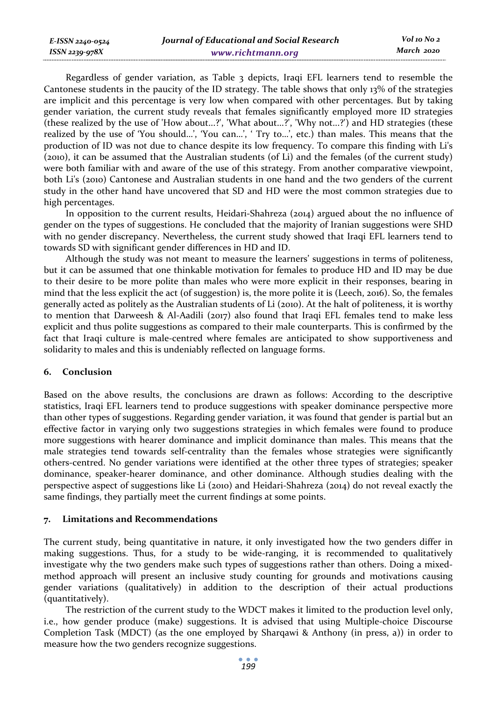| E-ISSN 2240-0524 | Journal of Educational and Social Research | Vol 10 No 2 |
|------------------|--------------------------------------------|-------------|
| ISSN 2239-978X   | www.richtmann.org                          | March 2020  |

Regardless of gender variation, as Table 3 depicts, Iraqi EFL learners tend to resemble the Cantonese students in the paucity of the ID strategy. The table shows that only 13% of the strategies are implicit and this percentage is very low when compared with other percentages. But by taking gender variation, the current study reveals that females significantly employed more ID strategies (these realized by the use of 'How about...?', 'What about...?', 'Why not...?') and HD strategies (these realized by the use of 'You should…', 'You can…', ' Try to…', etc.) than males. This means that the production of ID was not due to chance despite its low frequency. To compare this finding with Li's (2010), it can be assumed that the Australian students (of Li) and the females (of the current study) were both familiar with and aware of the use of this strategy. From another comparative viewpoint, both Li's (2010) Cantonese and Australian students in one hand and the two genders of the current study in the other hand have uncovered that SD and HD were the most common strategies due to high percentages.

In opposition to the current results, Heidari-Shahreza (2014) argued about the no influence of gender on the types of suggestions. He concluded that the majority of Iranian suggestions were SHD with no gender discrepancy. Nevertheless, the current study showed that Iraqi EFL learners tend to towards SD with significant gender differences in HD and ID.

Although the study was not meant to measure the learners' suggestions in terms of politeness, but it can be assumed that one thinkable motivation for females to produce HD and ID may be due to their desire to be more polite than males who were more explicit in their responses, bearing in mind that the less explicit the act (of suggestion) is, the more polite it is (Leech, 2016). So, the females generally acted as politely as the Australian students of Li (2010). At the halt of politeness, it is worthy to mention that Darweesh & Al-Aadili (2017) also found that Iraqi EFL females tend to make less explicit and thus polite suggestions as compared to their male counterparts. This is confirmed by the fact that Iraqi culture is male-centred where females are anticipated to show supportiveness and solidarity to males and this is undeniably reflected on language forms.

### **6. Conclusion**

Based on the above results, the conclusions are drawn as follows: According to the descriptive statistics, Iraqi EFL learners tend to produce suggestions with speaker dominance perspective more than other types of suggestions. Regarding gender variation, it was found that gender is partial but an effective factor in varying only two suggestions strategies in which females were found to produce more suggestions with hearer dominance and implicit dominance than males. This means that the male strategies tend towards self-centrality than the females whose strategies were significantly others-centred. No gender variations were identified at the other three types of strategies; speaker dominance, speaker-hearer dominance, and other dominance. Although studies dealing with the perspective aspect of suggestions like Li (2010) and Heidari-Shahreza (2014) do not reveal exactly the same findings, they partially meet the current findings at some points.

### **7. Limitations and Recommendations**

The current study, being quantitative in nature, it only investigated how the two genders differ in making suggestions. Thus, for a study to be wide-ranging, it is recommended to qualitatively investigate why the two genders make such types of suggestions rather than others. Doing a mixedmethod approach will present an inclusive study counting for grounds and motivations causing gender variations (qualitatively) in addition to the description of their actual productions (quantitatively).

The restriction of the current study to the WDCT makes it limited to the production level only, i.e., how gender produce (make) suggestions. It is advised that using Multiple-choice Discourse Completion Task (MDCT) (as the one employed by Sharqawi & Anthony (in press, a)) in order to measure how the two genders recognize suggestions.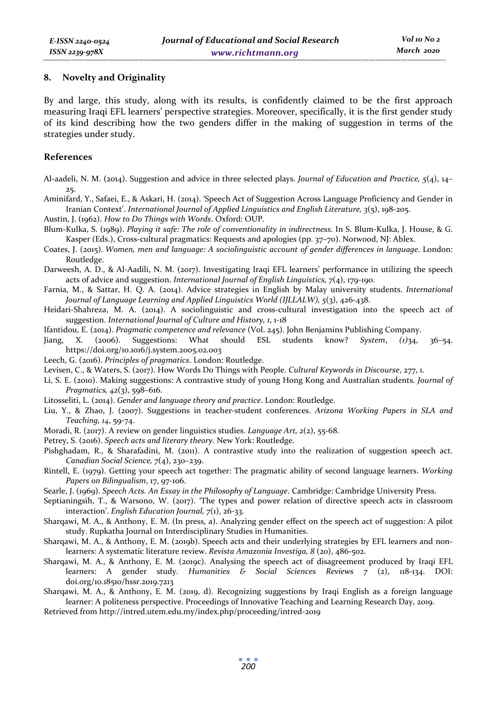### **8. Novelty and Originality**

By and large, this study, along with its results, is confidently claimed to be the first approach measuring Iraqi EFL learners' perspective strategies. Moreover, specifically, it is the first gender study of its kind describing how the two genders differ in the making of suggestion in terms of the strategies under study.

### **References**

- Al-aadeli, N. M. (2014). Suggestion and advice in three selected plays. *Journal of Education and Practice, 5*(4), 14– 25.
- Aminifard, Y., Safaei, E., & Askari, H. (2014). 'Speech Act of Suggestion Across Language Proficiency and Gender in Iranian Context'. *International Journal of Applied Linguistics and English Literature, 3*(5), 198-205.
- Austin, J. (1962). *How to Do Things with Words*. Oxford: OUP.
- Blum-Kulka, S. (1989). *Playing it safe: The role of conventionality in indirectness*. In S. Blum-Kulka, J. House, & G. Kasper (Eds.), Cross-cultural pragmatics: Requests and apologies (pp. 37–70). Norwood, NJ: Ablex.
- Coates, J. (2015). *Women, men and language: A sociolinguistic account of gender differences in language*. London: Routledge.
- Darweesh, A. D., & Al-Aadili, N. M. (2017). Investigating Iraqi EFL learners' performance in utilizing the speech acts of advice and suggestion. *International Journal of English Linguistics, 7*(4), 179-190.
- Farnia, M., & Sattar, H. Q. A. (2014). Advice strategies in English by Malay university students. *International Journal of Language Learning and Applied Linguistics World (IJLLALW), 5*(3), 426-438.
- Heidari-Shahreza, M. A. (2014). A sociolinguistic and cross-cultural investigation into the speech act of suggestion. *International Journal of Culture and History, 1*, 1-18
- Ifantidou, E. (2014). *Pragmatic competence and relevance* (Vol. 245). John Benjamins Publishing Company.
- Jiang, X. (2006). Suggestions: What should ESL students know? *System*, *(1)*34, 36–54. https://doi.org/10.1016/j.system.2005.02.003
- Leech, G. (2016). *Principles of pragmatics*. London: Routledge.
- Levisen, C., & Waters, S. (2017). How Words Do Things with People. *Cultural Keywords in Discourse*, 277, 1.
- Li, S. E. (2010). Making suggestions: A contrastive study of young Hong Kong and Australian students. *Journal of Pragmatics, 42*(3), 598–616.
- Litosseliti, L. (2014). *Gender and language theory and practice*. London: Routledge.
- Liu, Y., & Zhao, J. (2007). Suggestions in teacher-student conferences. *Arizona Working Papers in SLA and Teaching, 14*, 59-74.
- Moradi, R. (2017). A review on gender linguistics studies. *Language Art, 2*(2), 55-68.
- Petrey, S. (2016). *Speech acts and literary theory*. New York: Routledge.
- Pishghadam, R., & Sharafadini, M. (2011). A contrastive study into the realization of suggestion speech act. *Canadian Social Science, 7*(4), 230–239.
- Rintell, E. (1979). Getting your speech act together: The pragmatic ability of second language learners. *Working Papers on Bilingualism*, 17, 97-106.
- Searle, J. (1969). *Speech Acts. An Essay in the Philosophy of Language*. Cambridge: Cambridge University Press.
- Septianingsih, T., & Warsono, W. (2017). 'The types and power relation of directive speech acts in classroom interaction'. *English Education Journal, 7*(1), 26-33.
- Sharqawi, M. A., & Anthony, E. M. (In press, a). Analyzing gender effect on the speech act of suggestion: A pilot study. Rupkatha Journal on Interdisciplinary Studies in Humanities.
- Sharqawi, M. A., & Anthony, E. M. (2019b). Speech acts and their underlying strategies by EFL learners and nonlearners: A systematic literature review. *Revista Amazonia Investiga*, 8 (20), 486-502.
- Sharqawi, M. A., & Anthony, E. M. (2019c). Analysing the speech act of disagreement produced by Iraqi EFL learners: A gender study. *Humanities & Social Sciences Reviews 7* (2), 118-134. DOI: doi.org/10.18510/hssr.2019.7213
- Sharqawi, M. A., & Anthony, E. M. (2019, d). Recognizing suggestions by Iraqi English as a foreign language learner: A politeness perspective. Proceedings of Innovative Teaching and Learning Research Day, 2019.
- Retrieved from http://intred.utem.edu.my/index.php/proceeding/intred-2019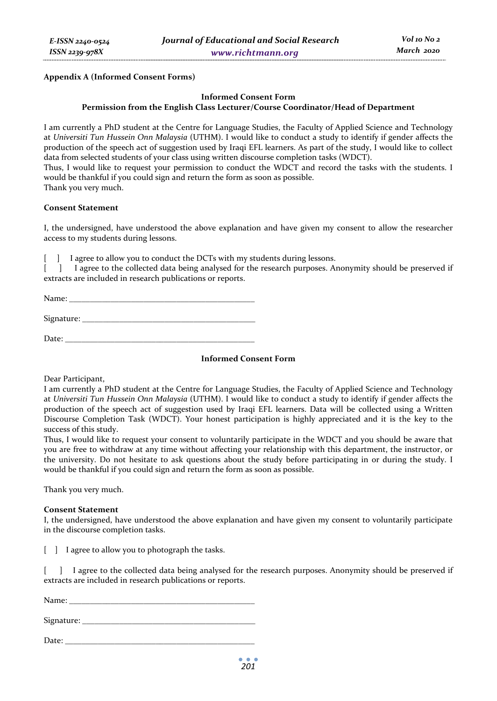#### **Appendix A (Informed Consent Forms)**

#### **Informed Consent Form Permission from the English Class Lecturer/Course Coordinator/Head of Department**

I am currently a PhD student at the Centre for Language Studies, the Faculty of Applied Science and Technology at *Universiti Tun Hussein Onn Malaysia* (UTHM). I would like to conduct a study to identify if gender affects the production of the speech act of suggestion used by Iraqi EFL learners. As part of the study, I would like to collect data from selected students of your class using written discourse completion tasks (WDCT).

Thus, I would like to request your permission to conduct the WDCT and record the tasks with the students. I would be thankful if you could sign and return the form as soon as possible. Thank you very much.

#### **Consent Statement**

I, the undersigned, have understood the above explanation and have given my consent to allow the researcher access to my students during lessons.

[ ] I agree to allow you to conduct the DCTs with my students during lessons.

[ ] I agree to the collected data being analysed for the research purposes. Anonymity should be preserved if extracts are included in research publications or reports.

Name:

 $Signature:$ 

Date:

## **Informed Consent Form**

Dear Participant,

I am currently a PhD student at the Centre for Language Studies, the Faculty of Applied Science and Technology at *Universiti Tun Hussein Onn Malaysia* (UTHM). I would like to conduct a study to identify if gender affects the production of the speech act of suggestion used by Iraqi EFL learners. Data will be collected using a Written Discourse Completion Task (WDCT). Your honest participation is highly appreciated and it is the key to the success of this study.

Thus, I would like to request your consent to voluntarily participate in the WDCT and you should be aware that you are free to withdraw at any time without affecting your relationship with this department, the instructor, or the university. Do not hesitate to ask questions about the study before participating in or during the study. I would be thankful if you could sign and return the form as soon as possible.

Thank you very much.

### **Consent Statement**

I, the undersigned, have understood the above explanation and have given my consent to voluntarily participate in the discourse completion tasks.

[ ] I agree to allow you to photograph the tasks.

[ ] I agree to the collected data being analysed for the research purposes. Anonymity should be preserved if extracts are included in research publications or reports.

Name:  $\Box$ 

 $Signature:$ 

Date: \_\_\_\_\_\_\_\_\_\_\_\_\_\_\_\_\_\_\_\_\_\_\_\_\_\_\_\_\_\_\_\_\_\_\_\_\_\_\_\_\_\_\_\_\_\_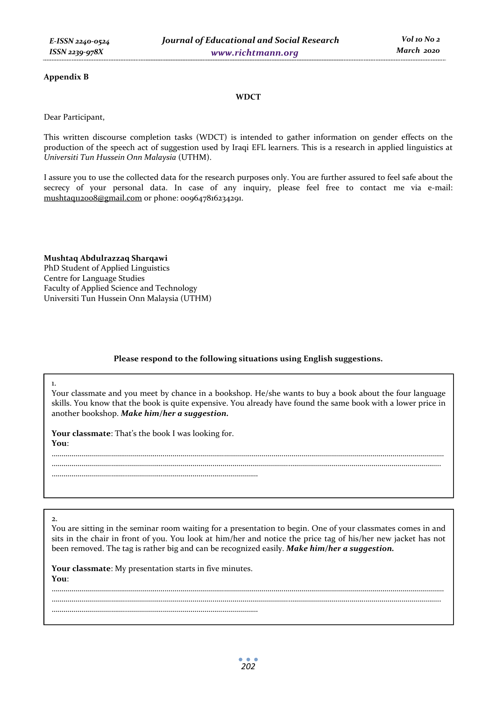### **Appendix B**

#### **WDCT**

Dear Participant,

This written discourse completion tasks (WDCT) is intended to gather information on gender effects on the production of the speech act of suggestion used by Iraqi EFL learners. This is a research in applied linguistics at *Universiti Tun Hussein Onn Malaysia* (UTHM).

I assure you to use the collected data for the research purposes only. You are further assured to feel safe about the secrecy of your personal data. In case of any inquiry, please feel free to contact me via e-mail: mushtaq112008@gmail.com or phone: 009647816234291.

**Mushtaq Abdulrazzaq Sharqawi**  PhD Student of Applied Linguistics Centre for Language Studies Faculty of Applied Science and Technology Universiti Tun Hussein Onn Malaysia (UTHM)

### **Please respond to the following situations using English suggestions.**

1.

Your classmate and you meet by chance in a bookshop. He/she wants to buy a book about the four language skills. You know that the book is quite expensive. You already have found the same book with a lower price in another bookshop. *Make him/her a suggestion.*

**Your classmate**: That's the book I was looking for. **You**:

………………………………..…………………………………………………………

……………………………………………………………………………………………………………………………………………………………………………… ………………………………..……………………………………..………………………………..………………………………..………………………………..

2.

You are sitting in the seminar room waiting for a presentation to begin. One of your classmates comes in and sits in the chair in front of you. You look at him/her and notice the price tag of his/her new jacket has not been removed. The tag is rather big and can be recognized easily. *Make him/her a suggestion.*

………………………………………………………………………………………………………………………………………………………………………………

**Your classmate**: My presentation starts in five minutes.

**You**:

………………………………..……………………………………..………………………………..………………………………..……………………………….. ………………………………..…………………………………………………………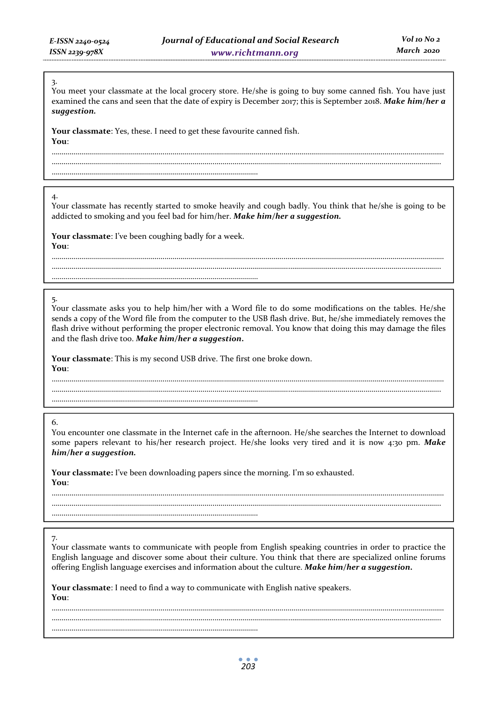#### 3.

You meet your classmate at the local grocery store. He/she is going to buy some canned fish. You have just examined the cans and seen that the date of expiry is December 2017; this is September 2018. *Make him/her a suggestion.*

**Your classmate**: Yes, these. I need to get these favourite canned fish.

**You**:

……………………………………………………………………………………………………………………………………………………………………………… ………………………………..……………………………………..………………………………..………………………………..……………………………….. ………………………………..…………………………………………………………

### 4.

Your classmate has recently started to smoke heavily and cough badly. You think that he/she is going to be addicted to smoking and you feel bad for him/her. *Make him/her a suggestion.*

………………………………..……………………………………..………………………………..………………………………..………………………………..

**Your classmate**: I've been coughing badly for a week.

**You**: ………………………………………………………………………………………………………………………………………………………………………………

………………………………..…………………………………………………………

5.

Your classmate asks you to help him/her with a Word file to do some modifications on the tables. He/she sends a copy of the Word file from the computer to the USB flash drive. But, he/she immediately removes the flash drive without performing the proper electronic removal. You know that doing this may damage the files and the flash drive too. *Make him/her a suggestion***.** 

**Your classmate**: This is my second USB drive. The first one broke down. **You**:

……………………………………………………………………………………………………………………………………………………………………………… ………………………………..……………………………………..………………………………..………………………………..………………………………..

………………………………..…………………………………………………………

………………………………..…………………………………………………………

………………………………..…………………………………………………………

6.

You encounter one classmate in the Internet cafe in the afternoon. He/she searches the Internet to download some papers relevant to his/her research project. He/she looks very tired and it is now 4:30 pm. *Make him/her a suggestion.*

……………………………………………………………………………………………………………………………………………………………………………… ………………………………..……………………………………..………………………………..………………………………..………………………………..

**Your classmate:** I've been downloading papers since the morning. I'm so exhausted. **You**:

### 7.

Your classmate wants to communicate with people from English speaking countries in order to practice the English language and discover some about their culture. You think that there are specialized online forums offering English language exercises and information about the culture. *Make him/her a suggestion***.** 

……………………………………………………………………………………………………………………………………………………………………………… ………………………………..……………………………………..………………………………..………………………………..………………………………..

**Your classmate**: I need to find a way to communicate with English native speakers. **You**: